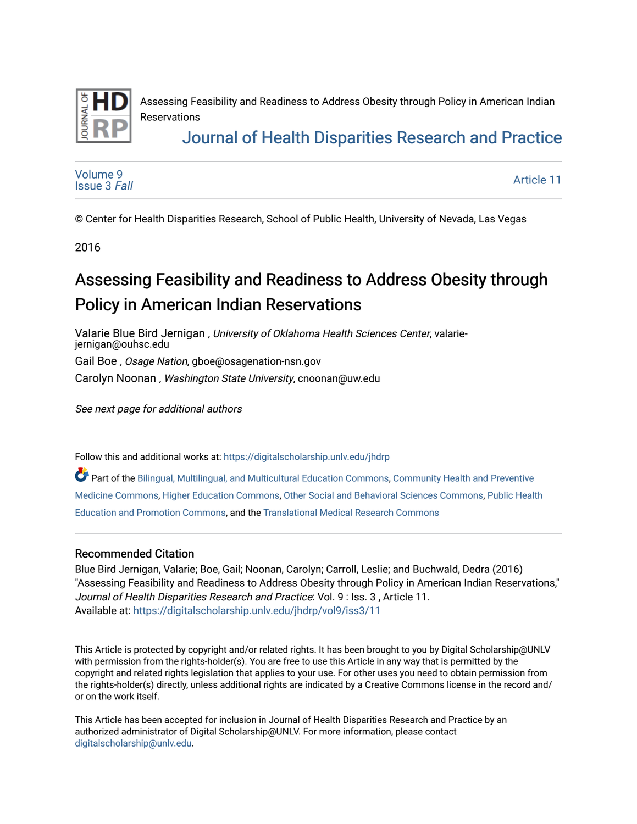

Assessing Feasibility and Readiness to Address Obesity through Policy in American Indian Reservations

## [Journal of Health Disparities Research and Practice](https://digitalscholarship.unlv.edu/jhdrp)

[Volume 9](https://digitalscholarship.unlv.edu/jhdrp/vol9) [Issue 3](https://digitalscholarship.unlv.edu/jhdrp/vol9/iss3) Fall [Article 11](https://digitalscholarship.unlv.edu/jhdrp/vol9/iss3/11) 

© Center for Health Disparities Research, School of Public Health, University of Nevada, Las Vegas

2016

# Assessing Feasibility and Readiness to Address Obesity through Policy in American Indian Reservations

Valarie Blue Bird Jernigan , University of Oklahoma Health Sciences Center, valariejernigan@ouhsc.edu

Gail Boe , Osage Nation, gboe@osagenation-nsn.gov

Carolyn Noonan , Washington State University, cnoonan@uw.edu

See next page for additional authors

Follow this and additional works at: [https://digitalscholarship.unlv.edu/jhdrp](https://digitalscholarship.unlv.edu/jhdrp?utm_source=digitalscholarship.unlv.edu%2Fjhdrp%2Fvol9%2Fiss3%2F11&utm_medium=PDF&utm_campaign=PDFCoverPages) 

Part of the [Bilingual, Multilingual, and Multicultural Education Commons,](http://network.bepress.com/hgg/discipline/785?utm_source=digitalscholarship.unlv.edu%2Fjhdrp%2Fvol9%2Fiss3%2F11&utm_medium=PDF&utm_campaign=PDFCoverPages) [Community Health and Preventive](http://network.bepress.com/hgg/discipline/744?utm_source=digitalscholarship.unlv.edu%2Fjhdrp%2Fvol9%2Fiss3%2F11&utm_medium=PDF&utm_campaign=PDFCoverPages) [Medicine Commons](http://network.bepress.com/hgg/discipline/744?utm_source=digitalscholarship.unlv.edu%2Fjhdrp%2Fvol9%2Fiss3%2F11&utm_medium=PDF&utm_campaign=PDFCoverPages), [Higher Education Commons,](http://network.bepress.com/hgg/discipline/1245?utm_source=digitalscholarship.unlv.edu%2Fjhdrp%2Fvol9%2Fiss3%2F11&utm_medium=PDF&utm_campaign=PDFCoverPages) [Other Social and Behavioral Sciences Commons](http://network.bepress.com/hgg/discipline/437?utm_source=digitalscholarship.unlv.edu%2Fjhdrp%2Fvol9%2Fiss3%2F11&utm_medium=PDF&utm_campaign=PDFCoverPages), [Public Health](http://network.bepress.com/hgg/discipline/743?utm_source=digitalscholarship.unlv.edu%2Fjhdrp%2Fvol9%2Fiss3%2F11&utm_medium=PDF&utm_campaign=PDFCoverPages) [Education and Promotion Commons](http://network.bepress.com/hgg/discipline/743?utm_source=digitalscholarship.unlv.edu%2Fjhdrp%2Fvol9%2Fiss3%2F11&utm_medium=PDF&utm_campaign=PDFCoverPages), and the [Translational Medical Research Commons](http://network.bepress.com/hgg/discipline/1124?utm_source=digitalscholarship.unlv.edu%2Fjhdrp%2Fvol9%2Fiss3%2F11&utm_medium=PDF&utm_campaign=PDFCoverPages) 

#### Recommended Citation

Blue Bird Jernigan, Valarie; Boe, Gail; Noonan, Carolyn; Carroll, Leslie; and Buchwald, Dedra (2016) "Assessing Feasibility and Readiness to Address Obesity through Policy in American Indian Reservations," Journal of Health Disparities Research and Practice: Vol. 9 : Iss. 3 , Article 11. Available at: [https://digitalscholarship.unlv.edu/jhdrp/vol9/iss3/11](https://digitalscholarship.unlv.edu/jhdrp/vol9/iss3/11?utm_source=digitalscholarship.unlv.edu%2Fjhdrp%2Fvol9%2Fiss3%2F11&utm_medium=PDF&utm_campaign=PDFCoverPages) 

This Article is protected by copyright and/or related rights. It has been brought to you by Digital Scholarship@UNLV with permission from the rights-holder(s). You are free to use this Article in any way that is permitted by the copyright and related rights legislation that applies to your use. For other uses you need to obtain permission from the rights-holder(s) directly, unless additional rights are indicated by a Creative Commons license in the record and/ or on the work itself.

This Article has been accepted for inclusion in Journal of Health Disparities Research and Practice by an authorized administrator of Digital Scholarship@UNLV. For more information, please contact [digitalscholarship@unlv.edu](mailto:digitalscholarship@unlv.edu).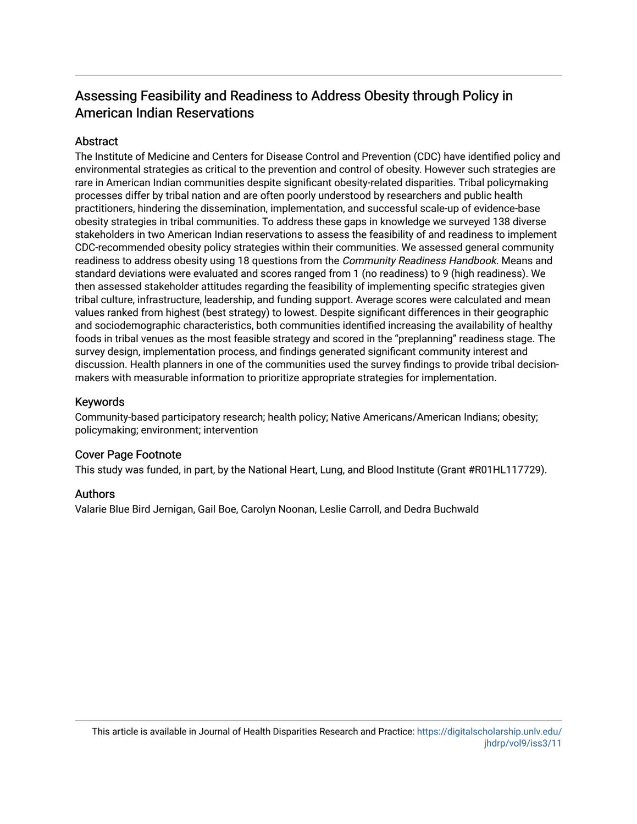### Assessing Feasibility and Readiness to Address Obesity through Policy in American Indian Reservations

#### **Abstract**

The Institute of Medicine and Centers for Disease Control and Prevention (CDC) have identified policy and environmental strategies as critical to the prevention and control of obesity. However such strategies are rare in American Indian communities despite significant obesity-related disparities. Tribal policymaking processes differ by tribal nation and are often poorly understood by researchers and public health practitioners, hindering the dissemination, implementation, and successful scale-up of evidence-base obesity strategies in tribal communities. To address these gaps in knowledge we surveyed 138 diverse stakeholders in two American Indian reservations to assess the feasibility of and readiness to implement CDC-recommended obesity policy strategies within their communities. We assessed general community readiness to address obesity using 18 questions from the *Community Readiness Handbook*. Means and standard deviations were evaluated and scores ranged from 1 (no readiness) to 9 (high readiness). We then assessed stakeholder attitudes regarding the feasibility of implementing specific strategies given tribal culture, infrastructure, leadership, and funding support. Average scores were calculated and mean values ranked from highest (best strategy) to lowest. Despite significant differences in their geographic and sociodemographic characteristics, both communities identified increasing the availability of healthy foods in tribal venues as the most feasible strategy and scored in the "preplanning" readiness stage. The survey design, implementation process, and findings generated significant community interest and discussion. Health planners in one of the communities used the survey findings to provide tribal decisionmakers with measurable information to prioritize appropriate strategies for implementation.

#### Keywords

Community-based participatory research; health policy; Native Americans/American Indians; obesity; policymaking; environment; intervention

#### Cover Page Footnote

This study was funded, in part, by the National Heart, Lung, and Blood Institute (Grant #R01HL117729).

#### Authors

Valarie Blue Bird Jernigan, Gail Boe, Carolyn Noonan, Leslie Carroll, and Dedra Buchwald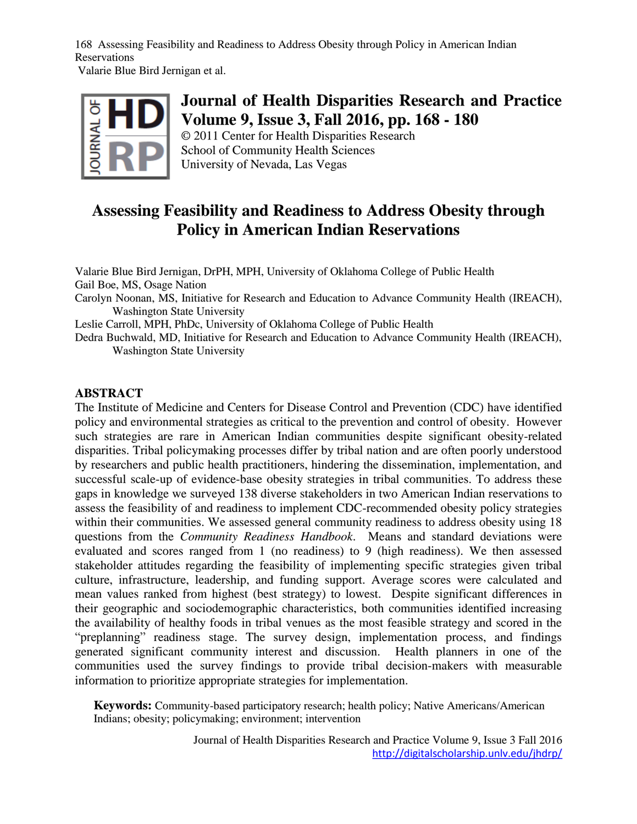168 Assessing Feasibility and Readiness to Address Obesity through Policy in American Indian Reservations

Valarie Blue Bird Jernigan et al.



### **Journal of Health Disparities Research and Practice Volume 9, Issue 3, Fall 2016, pp. 168 - 180**

© 2011 Center for Health Disparities Research School of Community Health Sciences University of Nevada, Las Vegas

### **Assessing Feasibility and Readiness to Address Obesity through Policy in American Indian Reservations**

Valarie Blue Bird Jernigan, DrPH, MPH, University of Oklahoma College of Public Health Gail Boe, MS, Osage Nation

Carolyn Noonan, MS, Initiative for Research and Education to Advance Community Health (IREACH), Washington State University

Leslie Carroll, MPH, PhDc, University of Oklahoma College of Public Health

Dedra Buchwald, MD, Initiative for Research and Education to Advance Community Health (IREACH), Washington State University

#### **ABSTRACT**

The Institute of Medicine and Centers for Disease Control and Prevention (CDC) have identified policy and environmental strategies as critical to the prevention and control of obesity. However such strategies are rare in American Indian communities despite significant obesity-related disparities. Tribal policymaking processes differ by tribal nation and are often poorly understood by researchers and public health practitioners, hindering the dissemination, implementation, and successful scale-up of evidence-base obesity strategies in tribal communities. To address these gaps in knowledge we surveyed 138 diverse stakeholders in two American Indian reservations to assess the feasibility of and readiness to implement CDC-recommended obesity policy strategies within their communities. We assessed general community readiness to address obesity using 18 questions from the *Community Readiness Handbook*. Means and standard deviations were evaluated and scores ranged from 1 (no readiness) to 9 (high readiness). We then assessed stakeholder attitudes regarding the feasibility of implementing specific strategies given tribal culture, infrastructure, leadership, and funding support. Average scores were calculated and mean values ranked from highest (best strategy) to lowest. Despite significant differences in their geographic and sociodemographic characteristics, both communities identified increasing the availability of healthy foods in tribal venues as the most feasible strategy and scored in the "preplanning" readiness stage. The survey design, implementation process, and findings generated significant community interest and discussion. Health planners in one of the communities used the survey findings to provide tribal decision-makers with measurable information to prioritize appropriate strategies for implementation.

**Keywords:** Community-based participatory research; health policy; Native Americans/American Indians; obesity; policymaking; environment; intervention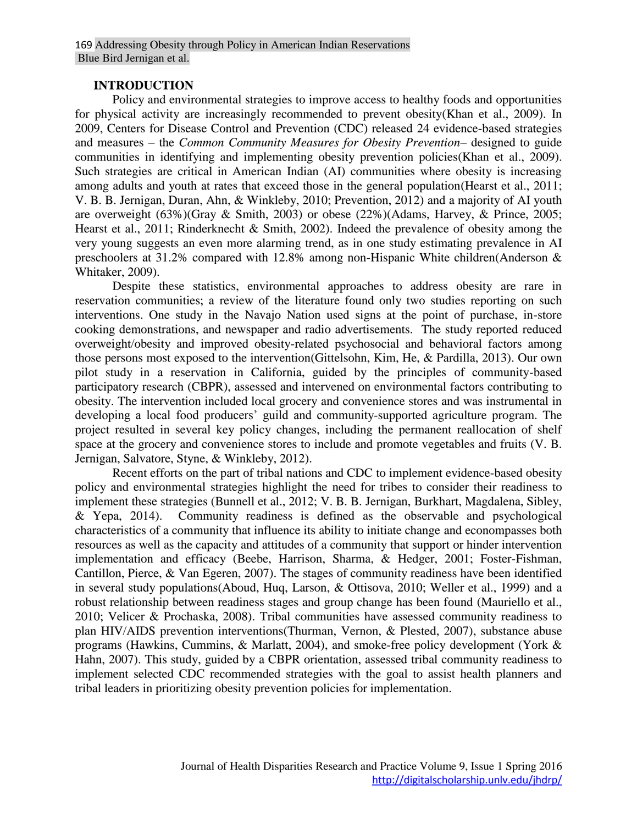#### **INTRODUCTION**

Policy and environmental strategies to improve access to healthy foods and opportunities for physical activity are increasingly recommended to prevent obesity(Khan et al., 2009). In 2009, Centers for Disease Control and Prevention (CDC) released 24 evidence-based strategies and measures – the *Common Community Measures for Obesity Prevention*– designed to guide communities in identifying and implementing obesity prevention policies(Khan et al., 2009). Such strategies are critical in American Indian (AI) communities where obesity is increasing among adults and youth at rates that exceed those in the general population(Hearst et al., 2011; V. B. B. Jernigan, Duran, Ahn, & Winkleby, 2010; Prevention, 2012) and a majority of AI youth are overweight (63%)(Gray & Smith, 2003) or obese (22%)(Adams, Harvey, & Prince, 2005; Hearst et al., 2011; Rinderknecht & Smith, 2002). Indeed the prevalence of obesity among the very young suggests an even more alarming trend, as in one study estimating prevalence in AI preschoolers at 31.2% compared with 12.8% among non-Hispanic White children(Anderson & Whitaker, 2009).

Despite these statistics, environmental approaches to address obesity are rare in reservation communities; a review of the literature found only two studies reporting on such interventions. One study in the Navajo Nation used signs at the point of purchase, in-store cooking demonstrations, and newspaper and radio advertisements. The study reported reduced overweight/obesity and improved obesity-related psychosocial and behavioral factors among those persons most exposed to the intervention(Gittelsohn, Kim, He, & Pardilla, 2013). Our own pilot study in a reservation in California, guided by the principles of community-based participatory research (CBPR), assessed and intervened on environmental factors contributing to obesity. The intervention included local grocery and convenience stores and was instrumental in developing a local food producers' guild and community-supported agriculture program. The project resulted in several key policy changes, including the permanent reallocation of shelf space at the grocery and convenience stores to include and promote vegetables and fruits (V. B. Jernigan, Salvatore, Styne, & Winkleby, 2012).

Recent efforts on the part of tribal nations and CDC to implement evidence-based obesity policy and environmental strategies highlight the need for tribes to consider their readiness to implement these strategies (Bunnell et al., 2012; V. B. B. Jernigan, Burkhart, Magdalena, Sibley, & Yepa, 2014). Community readiness is defined as the observable and psychological characteristics of a community that influence its ability to initiate change and econompasses both resources as well as the capacity and attitudes of a community that support or hinder intervention implementation and efficacy (Beebe, Harrison, Sharma, & Hedger, 2001; Foster-Fishman, Cantillon, Pierce, & Van Egeren, 2007). The stages of community readiness have been identified in several study populations(Aboud, Huq, Larson, & Ottisova, 2010; Weller et al., 1999) and a robust relationship between readiness stages and group change has been found (Mauriello et al., 2010; Velicer & Prochaska, 2008). Tribal communities have assessed community readiness to plan HIV/AIDS prevention interventions(Thurman, Vernon, & Plested, 2007), substance abuse programs (Hawkins, Cummins, & Marlatt, 2004), and smoke-free policy development (York & Hahn, 2007). This study, guided by a CBPR orientation, assessed tribal community readiness to implement selected CDC recommended strategies with the goal to assist health planners and tribal leaders in prioritizing obesity prevention policies for implementation.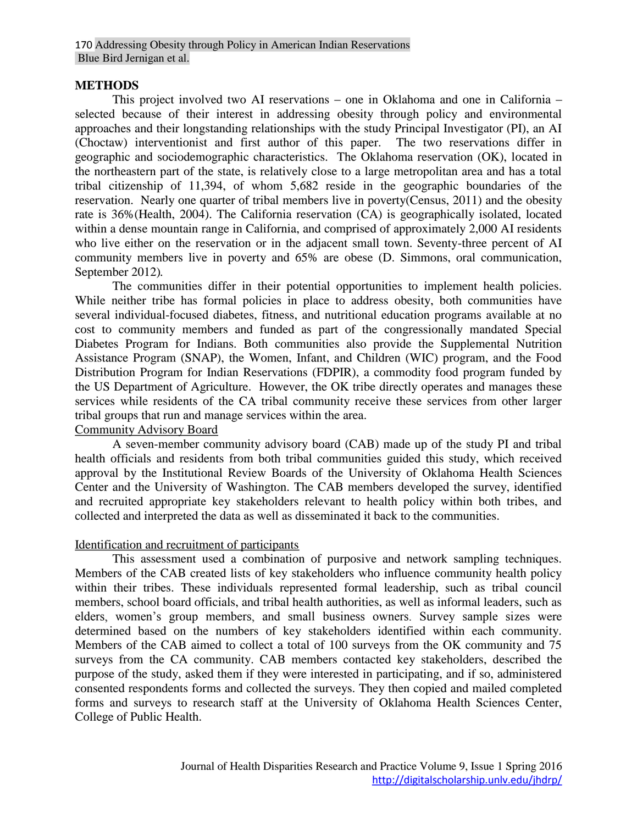#### **METHODS**

This project involved two AI reservations – one in Oklahoma and one in California – selected because of their interest in addressing obesity through policy and environmental approaches and their longstanding relationships with the study Principal Investigator (PI), an AI (Choctaw) interventionist and first author of this paper. The two reservations differ in geographic and sociodemographic characteristics. The Oklahoma reservation (OK), located in the northeastern part of the state, is relatively close to a large metropolitan area and has a total tribal citizenship of 11,394, of whom 5,682 reside in the geographic boundaries of the reservation. Nearly one quarter of tribal members live in poverty(Census, 2011) and the obesity rate is 36%(Health, 2004). The California reservation (CA) is geographically isolated, located within a dense mountain range in California, and comprised of approximately 2,000 AI residents who live either on the reservation or in the adjacent small town. Seventy-three percent of AI community members live in poverty and 65% are obese (D. Simmons, oral communication, September 2012)*.* 

The communities differ in their potential opportunities to implement health policies. While neither tribe has formal policies in place to address obesity, both communities have several individual-focused diabetes, fitness, and nutritional education programs available at no cost to community members and funded as part of the congressionally mandated Special Diabetes Program for Indians. Both communities also provide the Supplemental Nutrition Assistance Program (SNAP), the Women, Infant, and Children (WIC) program, and the Food Distribution Program for Indian Reservations (FDPIR), a commodity food program funded by the US Department of Agriculture. However, the OK tribe directly operates and manages these services while residents of the CA tribal community receive these services from other larger tribal groups that run and manage services within the area.

#### Community Advisory Board

A seven-member community advisory board (CAB) made up of the study PI and tribal health officials and residents from both tribal communities guided this study, which received approval by the Institutional Review Boards of the University of Oklahoma Health Sciences Center and the University of Washington. The CAB members developed the survey, identified and recruited appropriate key stakeholders relevant to health policy within both tribes, and collected and interpreted the data as well as disseminated it back to the communities.

#### Identification and recruitment of participants

This assessment used a combination of purposive and network sampling techniques. Members of the CAB created lists of key stakeholders who influence community health policy within their tribes. These individuals represented formal leadership, such as tribal council members, school board officials, and tribal health authorities, as well as informal leaders, such as elders, women's group members, and small business owners. Survey sample sizes were determined based on the numbers of key stakeholders identified within each community. Members of the CAB aimed to collect a total of 100 surveys from the OK community and 75 surveys from the CA community. CAB members contacted key stakeholders, described the purpose of the study, asked them if they were interested in participating, and if so, administered consented respondents forms and collected the surveys. They then copied and mailed completed forms and surveys to research staff at the University of Oklahoma Health Sciences Center, College of Public Health.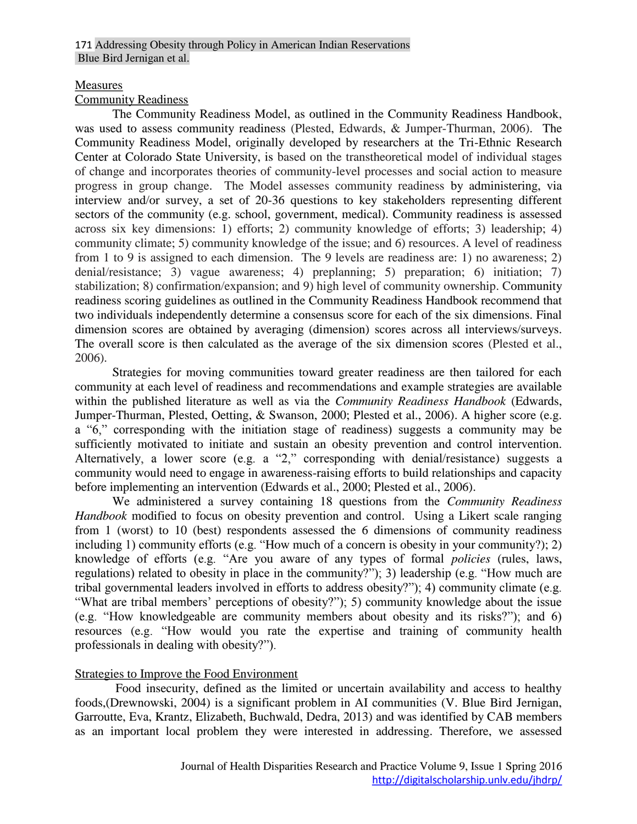#### Measures

#### Community Readiness

The Community Readiness Model, as outlined in the Community Readiness Handbook, was used to assess community readiness (Plested, Edwards, & Jumper-Thurman, 2006). The Community Readiness Model, originally developed by researchers at the Tri-Ethnic Research Center at Colorado State University, is based on the transtheoretical model of individual stages of change and incorporates theories of community-level processes and social action to measure progress in group change. The Model assesses community readiness by administering, via interview and/or survey, a set of 20-36 questions to key stakeholders representing different sectors of the community (e.g. school, government, medical). Community readiness is assessed across six key dimensions: 1) efforts; 2) community knowledge of efforts; 3) leadership; 4) community climate; 5) community knowledge of the issue; and 6) resources. A level of readiness from 1 to 9 is assigned to each dimension. The 9 levels are readiness are: 1) no awareness; 2) denial/resistance; 3) vague awareness; 4) preplanning; 5) preparation; 6) initiation; 7) stabilization; 8) confirmation/expansion; and 9) high level of community ownership. Community readiness scoring guidelines as outlined in the Community Readiness Handbook recommend that two individuals independently determine a consensus score for each of the six dimensions. Final dimension scores are obtained by averaging (dimension) scores across all interviews/surveys. The overall score is then calculated as the average of the six dimension scores (Plested et al., 2006).

Strategies for moving communities toward greater readiness are then tailored for each community at each level of readiness and recommendations and example strategies are available within the published literature as well as via the *Community Readiness Handbook* (Edwards, Jumper-Thurman, Plested, Oetting, & Swanson, 2000; Plested et al., 2006). A higher score (e.g. a "6," corresponding with the initiation stage of readiness) suggests a community may be sufficiently motivated to initiate and sustain an obesity prevention and control intervention. Alternatively, a lower score (e.g. a "2," corresponding with denial/resistance) suggests a community would need to engage in awareness-raising efforts to build relationships and capacity before implementing an intervention (Edwards et al., 2000; Plested et al., 2006).

We administered a survey containing 18 questions from the *Community Readiness Handbook* modified to focus on obesity prevention and control. Using a Likert scale ranging from 1 (worst) to 10 (best) respondents assessed the 6 dimensions of community readiness including 1) community efforts (e.g. "How much of a concern is obesity in your community?); 2) knowledge of efforts (e.g. "Are you aware of any types of formal *policies* (rules, laws, regulations) related to obesity in place in the community?"); 3) leadership (e.g. "How much are tribal governmental leaders involved in efforts to address obesity?"); 4) community climate (e.g. "What are tribal members' perceptions of obesity?"); 5) community knowledge about the issue (e.g. "How knowledgeable are community members about obesity and its risks?"); and 6) resources (e.g. "How would you rate the expertise and training of community health professionals in dealing with obesity?").

#### Strategies to Improve the Food Environment

Food insecurity, defined as the limited or uncertain availability and access to healthy foods,(Drewnowski, 2004) is a significant problem in AI communities (V. Blue Bird Jernigan, Garroutte, Eva, Krantz, Elizabeth, Buchwald, Dedra, 2013) and was identified by CAB members as an important local problem they were interested in addressing. Therefore, we assessed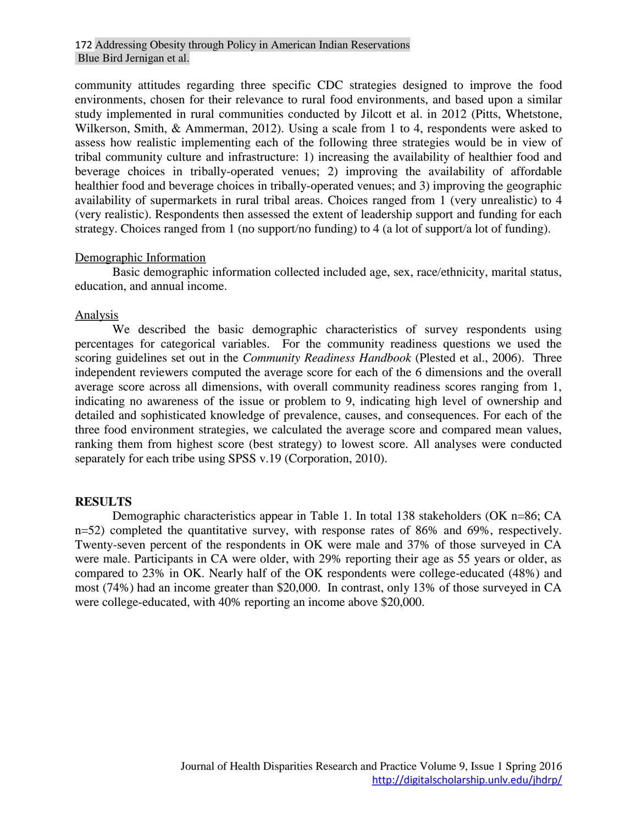community attitudes regarding three specific CDC strategies designed to improve the food environments, chosen for their relevance to rural food environments, and based upon a similar study implemented in rural communities conducted by Jilcott et al. in 2012 (Pitts, Whetstone, Wilkerson, Smith, & Ammerman, 2012). Using a scale from 1 to 4, respondents were asked to assess how realistic implementing each of the following three strategies would be in view of tribal community culture and infrastructure: 1) increasing the availability of healthier food and beverage choices in tribally-operated venues; 2) improving the availability of affordable healthier food and beverage choices in tribally-operated venues; and 3) improving the geographic availability of supermarkets in rural tribal areas. Choices ranged from 1 (very unrealistic) to 4 (very realistic). Respondents then assessed the extent of leadership support and funding for each strategy. Choices ranged from 1 (no support/no funding) to 4 (a lot of support/a lot of funding).

#### Demographic Information

Basic demographic information collected included age, sex, race/ethnicity, marital status, education, and annual income.

#### Analysis

We described the basic demographic characteristics of survey respondents using percentages for categorical variables. For the community readiness questions we used the scoring guidelines set out in the *Community Readiness Handbook* (Plested et al., 2006). Three independent reviewers computed the average score for each of the 6 dimensions and the overall average score across all dimensions, with overall community readiness scores ranging from 1, indicating no awareness of the issue or problem to 9, indicating high level of ownership and detailed and sophisticated knowledge of prevalence, causes, and consequences. For each of the three food environment strategies, we calculated the average score and compared mean values, ranking them from highest score (best strategy) to lowest score. All analyses were conducted separately for each tribe using SPSS v.19 (Corporation, 2010).

#### **RESULTS**

Demographic characteristics appear in Table 1. In total 138 stakeholders (OK n=86; CA n=52) completed the quantitative survey, with response rates of 86% and 69%, respectively. Twenty-seven percent of the respondents in OK were male and 37% of those surveyed in CA were male. Participants in CA were older, with 29% reporting their age as 55 years or older, as compared to 23% in OK. Nearly half of the OK respondents were college-educated (48%) and most (74%) had an income greater than \$20,000. In contrast, only 13% of those surveyed in CA were college-educated, with 40% reporting an income above \$20,000.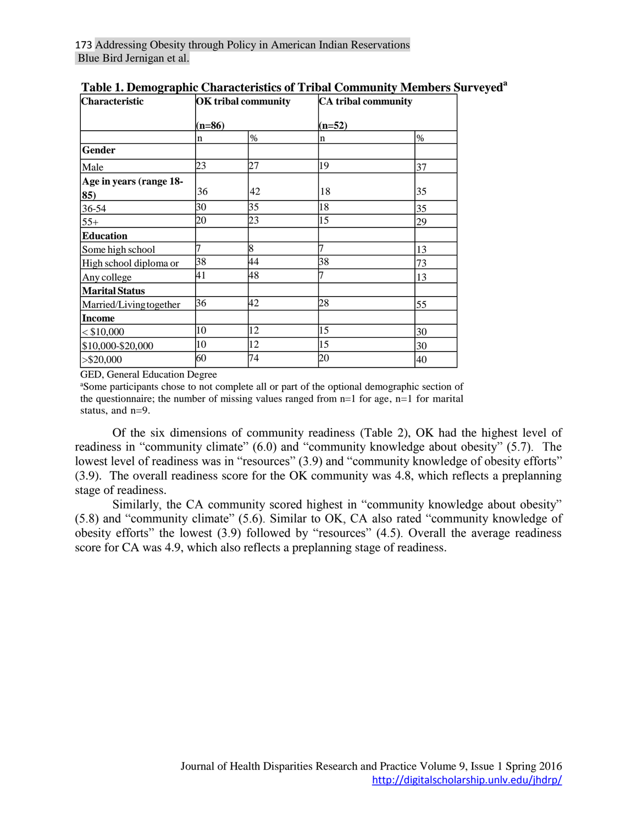| <b>Characteristic</b>   | <b>OK</b> tribal community<br>$(n=86)$ |      | <b>CA</b> tribal community |      |
|-------------------------|----------------------------------------|------|----------------------------|------|
|                         |                                        |      | $(n=52)$                   |      |
|                         | n                                      | $\%$ | n                          | $\%$ |
| Gender                  |                                        |      |                            |      |
| Male                    | 23                                     | 27   | 19                         | 37   |
| Age in years (range 18- |                                        |      |                            |      |
| 85)                     | 36                                     | 42   | 18                         | 35   |
| 36-54                   | 30                                     | 35   | 18                         | 35   |
| $55+$                   | 20                                     | 23   | 15                         | 29   |
| <b>Education</b>        |                                        |      |                            |      |
| Some high school        | 7                                      | 8    | 7                          | 13   |
| High school diploma or  | 38                                     | 44   | 38                         | 73   |
| Any college             | 41                                     | 48   |                            | 13   |
| <b>Marital Status</b>   |                                        |      |                            |      |
| Married/Living together | 36                                     | 42   | 28                         | 55   |
| <b>Income</b>           |                                        |      |                            |      |
| $<$ \$10,000            | 10                                     | 12   | 15                         | 30   |
| \$10,000-\$20,000       | 10                                     | 12   | 15                         | 30   |
| > \$20,000              | 60                                     | 74   | 20                         | 40   |

|  | Table 1. Demographic Characteristics of Tribal Community Members Surveyed <sup>a</sup> |  |  |
|--|----------------------------------------------------------------------------------------|--|--|
|  |                                                                                        |  |  |

GED, General Education Degree

<sup>a</sup>Some participants chose to not complete all or part of the optional demographic section of the questionnaire; the number of missing values ranged from  $n=1$  for age,  $n=1$  for marital status, and n=9.

Of the six dimensions of community readiness (Table 2), OK had the highest level of readiness in "community climate" (6.0) and "community knowledge about obesity" (5.7). The lowest level of readiness was in "resources" (3.9) and "community knowledge of obesity efforts" (3.9). The overall readiness score for the OK community was 4.8, which reflects a preplanning stage of readiness.

Similarly, the CA community scored highest in "community knowledge about obesity" (5.8) and "community climate" (5.6). Similar to OK, CA also rated "community knowledge of obesity efforts" the lowest (3.9) followed by "resources" (4.5). Overall the average readiness score for CA was 4.9, which also reflects a preplanning stage of readiness.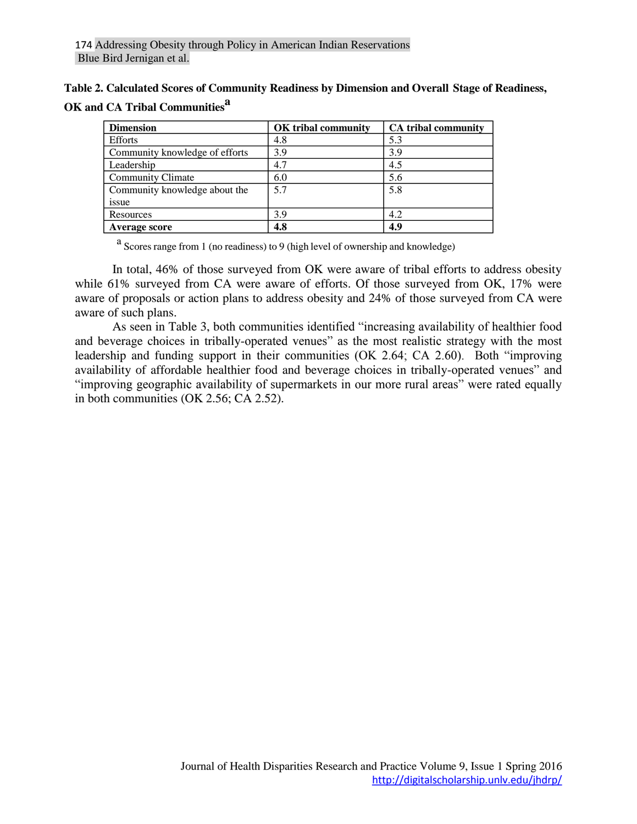| Table 2. Calculated Scores of Community Readiness by Dimension and Overall Stage of Readiness, |  |  |
|------------------------------------------------------------------------------------------------|--|--|
| OK and CA Tribal Communities <sup>a</sup>                                                      |  |  |

| <b>Dimension</b>               | OK tribal community | <b>CA</b> tribal community |
|--------------------------------|---------------------|----------------------------|
| <b>Efforts</b>                 | 4.8                 | 5.3                        |
| Community knowledge of efforts | 3.9                 | 3.9                        |
| Leadership                     | 4.7                 | 4.5                        |
| <b>Community Climate</b>       | 6.0                 | 5.6                        |
| Community knowledge about the  | 5.7                 | 5.8                        |
| issue                          |                     |                            |
| Resources                      | 3.9                 | 4.2                        |
| Average score                  | 4.8                 | 4.9                        |

<sup>a</sup> Scores range from 1 (no readiness) to 9 (high level of ownership and knowledge)

In total, 46% of those surveyed from OK were aware of tribal efforts to address obesity while 61% surveyed from CA were aware of efforts. Of those surveyed from OK, 17% were aware of proposals or action plans to address obesity and 24% of those surveyed from CA were aware of such plans.

As seen in Table 3, both communities identified "increasing availability of healthier food and beverage choices in tribally-operated venues" as the most realistic strategy with the most leadership and funding support in their communities (OK 2.64; CA 2.60). Both "improving availability of affordable healthier food and beverage choices in tribally-operated venues" and "improving geographic availability of supermarkets in our more rural areas" were rated equally in both communities (OK 2.56; CA 2.52).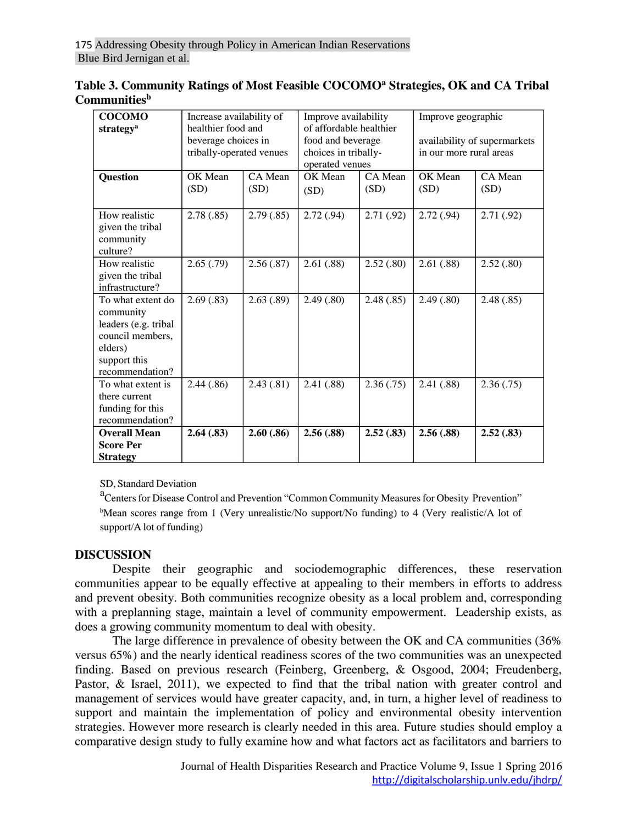| C <b>ommunities</b> "                                                                                 |                                                 |                 |                                                              |                 |                                                                               |                 |
|-------------------------------------------------------------------------------------------------------|-------------------------------------------------|-----------------|--------------------------------------------------------------|-----------------|-------------------------------------------------------------------------------|-----------------|
| <b>COCOMO</b><br>strategy <sup>a</sup>                                                                | Increase availability of<br>healthier food and  |                 | Improve availability<br>of affordable healthier              |                 | Improve geographic<br>availability of supermarkets<br>in our more rural areas |                 |
|                                                                                                       | beverage choices in<br>tribally-operated venues |                 | food and beverage<br>choices in tribally-<br>operated venues |                 |                                                                               |                 |
| <b>Question</b>                                                                                       | OK Mean<br>(SD)                                 | CA Mean<br>(SD) | OK Mean<br>(SD)                                              | CA Mean<br>(SD) | OK Mean<br>(SD)                                                               | CA Mean<br>(SD) |
| How realistic<br>given the tribal<br>community<br>culture?                                            | 2.78(.85)                                       | 2.79(.85)       | 2.72(.94)                                                    | 2.71(0.92)      | 2.72(.94)                                                                     | 2.71(.92)       |
| How realistic<br>given the tribal<br>infrastructure?                                                  | 2.65(.79)                                       | 2.56(.87)       | 2.61(.88)                                                    | 2.52(.80)       | 2.61(.88)                                                                     | 2.52(.80)       |
| To what extent do<br>community<br>leaders (e.g. tribal<br>council members,<br>elders)<br>support this | 2.69(.83)                                       | 2.63(.89)       | 2.49(.80)                                                    | 2.48(.85)       | 2.49(.80)                                                                     | 2.48(.85)       |

| Table 3. Community Ratings of Most Feasible COCOMO <sup>a</sup> Strategies, OK and CA Tribal |  |
|----------------------------------------------------------------------------------------------|--|
| <b>Communities</b> <sup>b</sup>                                                              |  |

SD, Standard Deviation

recommendation?

To what extent is there current funding for this recommendation?

**Overall Mean Score Per Strategy**

a<br>Centers for Disease Control and Prevention "Common Community Measures for Obesity Prevention"  $b$ Mean scores range from 1 (Very unrealistic/No support/No funding) to 4 (Very realistic/A lot of support/A lot of funding)

2.44 (.86) 2.43 (.81) 2.41 (.88) 2.36 (.75) 2.41 (.88) 2.36 (.75)

**2.64 (.83) 2.60 (.86) 2.56 (.88) 2.52 (.83) 2.56 (.88) 2.52 (.83)**

#### **DISCUSSION**

Despite their geographic and sociodemographic differences, these reservation communities appear to be equally effective at appealing to their members in efforts to address and prevent obesity. Both communities recognize obesity as a local problem and, corresponding with a preplanning stage, maintain a level of community empowerment. Leadership exists, as does a growing community momentum to deal with obesity.

The large difference in prevalence of obesity between the OK and CA communities (36% versus 65%) and the nearly identical readiness scores of the two communities was an unexpected finding. Based on previous research (Feinberg, Greenberg, & Osgood, 2004; Freudenberg, Pastor, & Israel, 2011), we expected to find that the tribal nation with greater control and management of services would have greater capacity, and, in turn, a higher level of readiness to support and maintain the implementation of policy and environmental obesity intervention strategies. However more research is clearly needed in this area. Future studies should employ a comparative design study to fully examine how and what factors act as facilitators and barriers to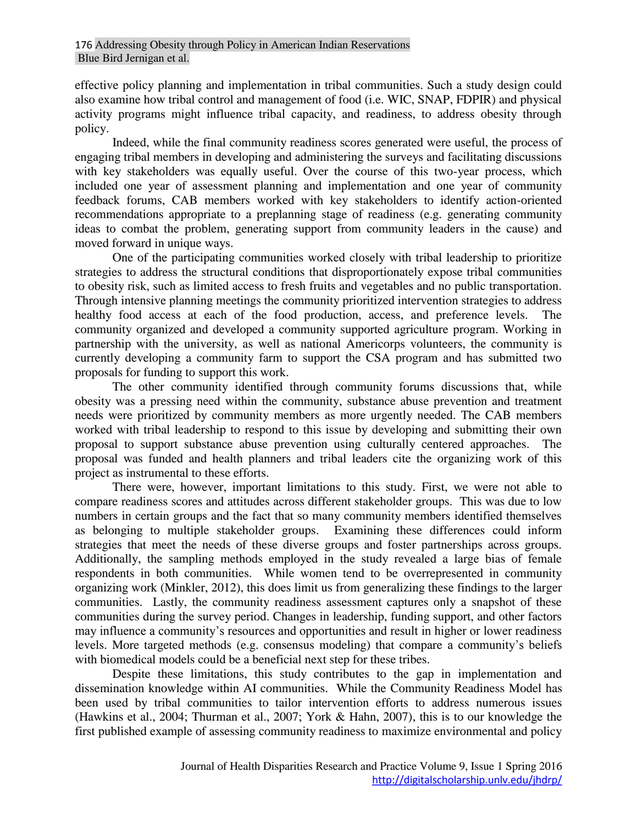effective policy planning and implementation in tribal communities. Such a study design could also examine how tribal control and management of food (i.e. WIC, SNAP, FDPIR) and physical activity programs might influence tribal capacity, and readiness, to address obesity through policy.

Indeed, while the final community readiness scores generated were useful, the process of engaging tribal members in developing and administering the surveys and facilitating discussions with key stakeholders was equally useful. Over the course of this two-year process, which included one year of assessment planning and implementation and one year of community feedback forums, CAB members worked with key stakeholders to identify action-oriented recommendations appropriate to a preplanning stage of readiness (e.g. generating community ideas to combat the problem, generating support from community leaders in the cause) and moved forward in unique ways.

One of the participating communities worked closely with tribal leadership to prioritize strategies to address the structural conditions that disproportionately expose tribal communities to obesity risk, such as limited access to fresh fruits and vegetables and no public transportation. Through intensive planning meetings the community prioritized intervention strategies to address healthy food access at each of the food production, access, and preference levels. The community organized and developed a community supported agriculture program. Working in partnership with the university, as well as national Americorps volunteers, the community is currently developing a community farm to support the CSA program and has submitted two proposals for funding to support this work.

The other community identified through community forums discussions that, while obesity was a pressing need within the community, substance abuse prevention and treatment needs were prioritized by community members as more urgently needed. The CAB members worked with tribal leadership to respond to this issue by developing and submitting their own proposal to support substance abuse prevention using culturally centered approaches. The proposal was funded and health planners and tribal leaders cite the organizing work of this project as instrumental to these efforts.

There were, however, important limitations to this study. First, we were not able to compare readiness scores and attitudes across different stakeholder groups. This was due to low numbers in certain groups and the fact that so many community members identified themselves as belonging to multiple stakeholder groups. Examining these differences could inform strategies that meet the needs of these diverse groups and foster partnerships across groups. Additionally, the sampling methods employed in the study revealed a large bias of female respondents in both communities. While women tend to be overrepresented in community organizing work (Minkler, 2012), this does limit us from generalizing these findings to the larger communities. Lastly, the community readiness assessment captures only a snapshot of these communities during the survey period. Changes in leadership, funding support, and other factors may influence a community's resources and opportunities and result in higher or lower readiness levels. More targeted methods (e.g. consensus modeling) that compare a community's beliefs with biomedical models could be a beneficial next step for these tribes.

Despite these limitations, this study contributes to the gap in implementation and dissemination knowledge within AI communities. While the Community Readiness Model has been used by tribal communities to tailor intervention efforts to address numerous issues (Hawkins et al., 2004; Thurman et al., 2007; York & Hahn, 2007), this is to our knowledge the first published example of assessing community readiness to maximize environmental and policy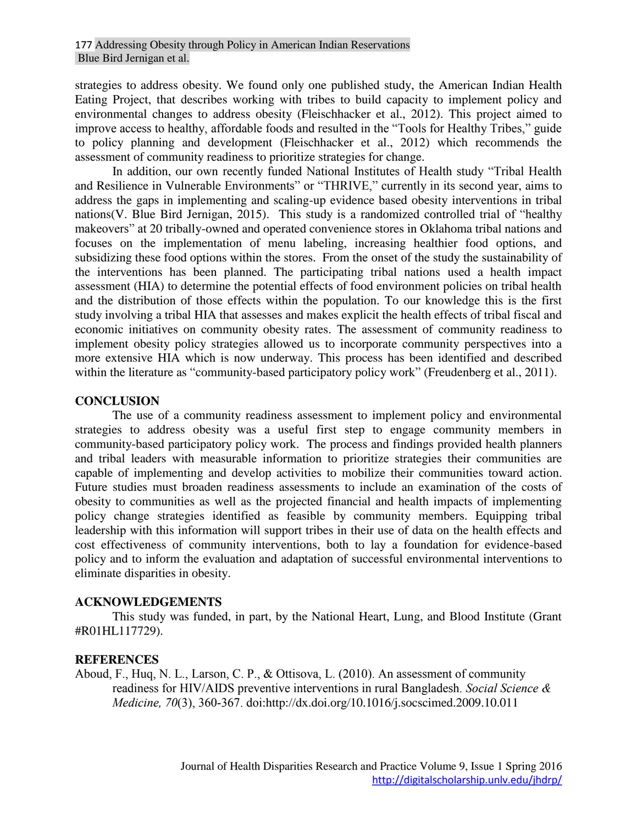strategies to address obesity. We found only one published study, the American Indian Health Eating Project, that describes working with tribes to build capacity to implement policy and environmental changes to address obesity (Fleischhacker et al., 2012). This project aimed to improve access to healthy, affordable foods and resulted in the "Tools for Healthy Tribes," guide to policy planning and development (Fleischhacker et al., 2012) which recommends the assessment of community readiness to prioritize strategies for change.

In addition, our own recently funded National Institutes of Health study "Tribal Health and Resilience in Vulnerable Environments" or "THRIVE," currently in its second year, aims to address the gaps in implementing and scaling-up evidence based obesity interventions in tribal nations(V. Blue Bird Jernigan, 2015). This study is a randomized controlled trial of "healthy makeovers" at 20 tribally-owned and operated convenience stores in Oklahoma tribal nations and focuses on the implementation of menu labeling, increasing healthier food options, and subsidizing these food options within the stores. From the onset of the study the sustainability of the interventions has been planned. The participating tribal nations used a health impact assessment (HIA) to determine the potential effects of food environment policies on tribal health and the distribution of those effects within the population. To our knowledge this is the first study involving a tribal HIA that assesses and makes explicit the health effects of tribal fiscal and economic initiatives on community obesity rates. The assessment of community readiness to implement obesity policy strategies allowed us to incorporate community perspectives into a more extensive HIA which is now underway. This process has been identified and described within the literature as "community-based participatory policy work" (Freudenberg et al., 2011).

#### **CONCLUSION**

The use of a community readiness assessment to implement policy and environmental strategies to address obesity was a useful first step to engage community members in community-based participatory policy work. The process and findings provided health planners and tribal leaders with measurable information to prioritize strategies their communities are capable of implementing and develop activities to mobilize their communities toward action. Future studies must broaden readiness assessments to include an examination of the costs of obesity to communities as well as the projected financial and health impacts of implementing policy change strategies identified as feasible by community members. Equipping tribal leadership with this information will support tribes in their use of data on the health effects and cost effectiveness of community interventions, both to lay a foundation for evidence-based policy and to inform the evaluation and adaptation of successful environmental interventions to eliminate disparities in obesity.

#### **ACKNOWLEDGEMENTS**

This study was funded, in part, by the National Heart, Lung, and Blood Institute (Grant #R01HL117729).

#### **REFERENCES**

**Aboud, F., Huq, N. L., Larson, C. P., & Ottisova, L. (2010). An assessment of community readiness for HIV/AIDS preventive interventions in rural Bangladesh.** *Social Science & Medicine, 70***(3), 360-367. doi**:http://dx.doi.org/10.1016/j.socscimed.2009.10.011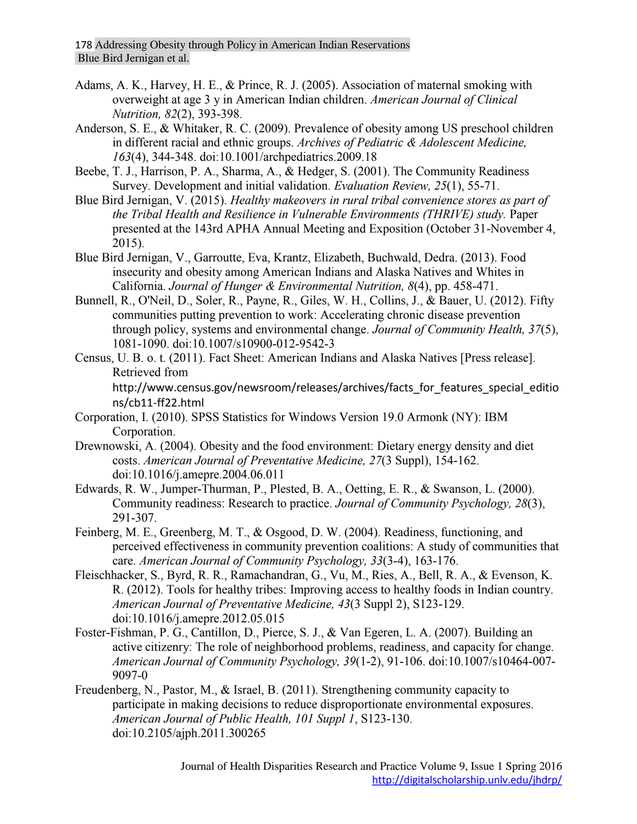- **Adams, A. K., Harvey, H. E., & Prince, R. J. (2005). Association of maternal smoking with overweight at age 3 y in American Indian children.** *American Journal of Clinical Nutrition, 82***(2), 393-398.**
- **Anderson, S. E., & Whitaker, R. C. (2009). Prevalence of obesity among US preschool children in different racial and ethnic groups.** *Archives of Pediatric & Adolescent Medicine, 163***(4), 344-348. doi:10.1001/archpediatrics.2009.18**
- **Beebe, T. J., Harrison, P. A., Sharma, A., & Hedger, S. (2001). The Community Readiness Survey. Development and initial validation.** *Evaluation Review, 25***(1), 55-71.**
- **Blue Bird Jernigan, V. (2015).** *Healthy makeovers in rural tribal convenience stores as part of the Tribal Health and Resilience in Vulnerable Environments (THRIVE) study.* **Paper presented at the 143rd APHA Annual Meeting and Exposition (October 31-November 4, 2015).**
- **Blue Bird Jernigan, V., Garroutte, Eva, Krantz, Elizabeth, Buchwald, Dedra. (2013). Food insecurity and obesity among American Indians and Alaska Natives and Whites in California.** *Journal of Hunger & Environmental Nutrition, 8***(4), pp. 458-471.**
- **Bunnell, R., O'Neil, D., Soler, R., Payne, R., Giles, W. H., Collins, J., & Bauer, U. (2012). Fifty communities putting prevention to work: Accelerating chronic disease prevention through policy, systems and environmental change.** *Journal of Community Health, 37***(5), 1081-1090. doi:10.1007/s10900-012-9542-3**
- **Census, U. B. o. t. (2011). Fact Sheet: American Indians and Alaska Natives [Press release]. Retrieved from**  http://www.census.gov/newsroom/releases/archives/facts\_for\_features\_special\_editio ns/cb11-ff22.html
- **Corporation, I. (2010). SPSS Statistics for Windows Version 19.0 Armonk (NY): IBM Corporation.**
- **Drewnowski, A. (2004). Obesity and the food environment: Dietary energy density and diet costs.** *American Journal of Preventative Medicine, 27***(3 Suppl), 154-162. doi:10.1016/j.amepre.2004.06.011**
- **Edwards, R. W., Jumper-Thurman, P., Plested, B. A., Oetting, E. R., & Swanson, L. (2000). Community readiness: Research to practice.** *Journal of Community Psychology, 28***(3), 291-307.**
- **Feinberg, M. E., Greenberg, M. T., & Osgood, D. W. (2004). Readiness, functioning, and perceived effectiveness in community prevention coalitions: A study of communities that care.** *American Journal of Community Psychology, 33***(3-4), 163-176.**
- **Fleischhacker, S., Byrd, R. R., Ramachandran, G., Vu, M., Ries, A., Bell, R. A., & Evenson, K. R. (2012). Tools for healthy tribes: Improving access to healthy foods in Indian country.**  *American Journal of Preventative Medicine, 43***(3 Suppl 2), S123-129. doi:10.1016/j.amepre.2012.05.015**
- **Foster-Fishman, P. G., Cantillon, D., Pierce, S. J., & Van Egeren, L. A. (2007). Building an active citizenry: The role of neighborhood problems, readiness, and capacity for change.**  *American Journal of Community Psychology, 39***(1-2), 91-106. doi:10.1007/s10464-007- 9097-0**
- **Freudenberg, N., Pastor, M., & Israel, B. (2011). Strengthening community capacity to participate in making decisions to reduce disproportionate environmental exposures.**  *American Journal of Public Health, 101 Suppl 1***, S123-130. doi:10.2105/ajph.2011.300265**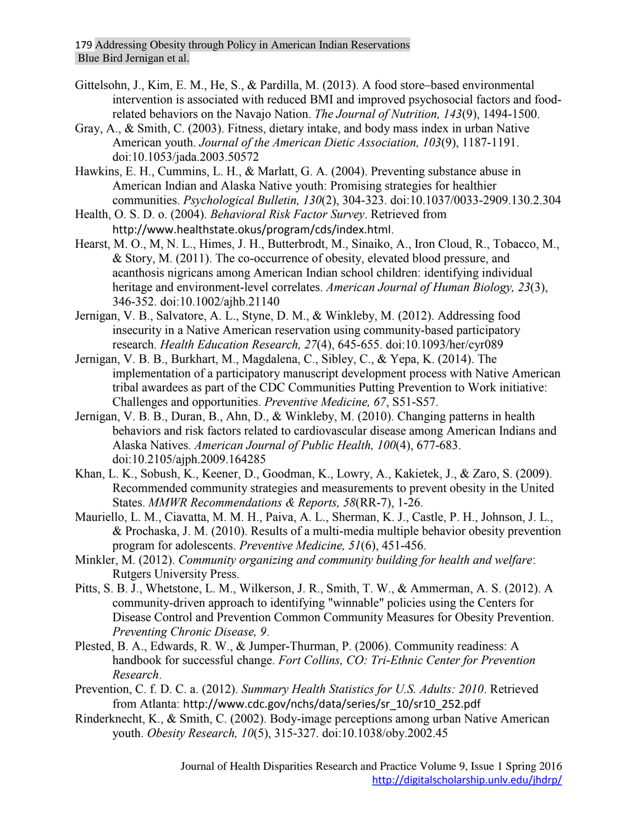- **Gittelsohn, J., Kim, E. M., He, S., & Pardilla, M. (2013). A food store–based environmental intervention is associated with reduced BMI and improved psychosocial factors and foodrelated behaviors on the Navajo Nation.** *The Journal of Nutrition, 143***(9), 1494-1500.**
- **Gray, A., & Smith, C. (2003). Fitness, dietary intake, and body mass index in urban Native American youth.** *Journal of the American Dietic Association, 103***(9), 1187-1191. doi:10.1053/jada.2003.50572**
- **Hawkins, E. H., Cummins, L. H., & Marlatt, G. A. (2004). Preventing substance abuse in American Indian and Alaska Native youth: Promising strategies for healthier communities.** *Psychological Bulletin, 130***(2), 304-323. doi:10.1037/0033-2909.130.2.304**
- **Health, O. S. D. o. (2004).** *Behavioral Risk Factor Survey***. Retrieved from**  http://www.healthstate.okus/program/cds/index.html**.**
- **Hearst, M. O., M, N. L., Himes, J. H., Butterbrodt, M., Sinaiko, A., Iron Cloud, R., Tobacco, M., & Story, M. (2011). The co-occurrence of obesity, elevated blood pressure, and acanthosis nigricans among American Indian school children: identifying individual heritage and environment-level correlates.** *American Journal of Human Biology, 23***(3), 346-352. doi:10.1002/ajhb.21140**
- **Jernigan, V. B., Salvatore, A. L., Styne, D. M., & Winkleby, M. (2012). Addressing food insecurity in a Native American reservation using community-based participatory research.** *Health Education Research, 27***(4), 645-655. doi:10.1093/her/cyr089**
- **Jernigan, V. B. B., Burkhart, M., Magdalena, C., Sibley, C., & Yepa, K. (2014). The implementation of a participatory manuscript development process with Native American tribal awardees as part of the CDC Communities Putting Prevention to Work initiative: Challenges and opportunities.** *Preventive Medicine, 67***, S51-S57.**
- **Jernigan, V. B. B., Duran, B., Ahn, D., & Winkleby, M. (2010). Changing patterns in health behaviors and risk factors related to cardiovascular disease among American Indians and Alaska Natives.** *American Journal of Public Health, 100***(4), 677-683. doi:10.2105/ajph.2009.164285**
- **Khan, L. K., Sobush, K., Keener, D., Goodman, K., Lowry, A., Kakietek, J., & Zaro, S. (2009). Recommended community strategies and measurements to prevent obesity in the United States.** *MMWR Recommendations & Reports, 58***(RR-7), 1-26.**
- **Mauriello, L. M., Ciavatta, M. M. H., Paiva, A. L., Sherman, K. J., Castle, P. H., Johnson, J. L., & Prochaska, J. M. (2010). Results of a multi-media multiple behavior obesity prevention program for adolescents.** *Preventive Medicine, 51***(6), 451-456.**
- **Minkler, M. (2012).** *Community organizing and community building for health and welfare***: Rutgers University Press.**
- **Pitts, S. B. J., Whetstone, L. M., Wilkerson, J. R., Smith, T. W., & Ammerman, A. S. (2012). A community-driven approach to identifying "winnable" policies using the Centers for Disease Control and Prevention Common Community Measures for Obesity Prevention.**  *Preventing Chronic Disease, 9***.**
- **Plested, B. A., Edwards, R. W., & Jumper-Thurman, P. (2006). Community readiness: A handbook for successful change.** *Fort Collins, CO: Tri-Ethnic Center for Prevention Research***.**
- **Prevention, C. f. D. C. a. (2012).** *Summary Health Statistics for U.S. Adults: 2010***. Retrieved from Atlanta:** http://www.cdc.gov/nchs/data/series/sr\_10/sr10\_252.pdf
- **Rinderknecht, K., & Smith, C. (2002). Body-image perceptions among urban Native American youth.** *Obesity Research, 10***(5), 315-327. doi:10.1038/oby.2002.45**